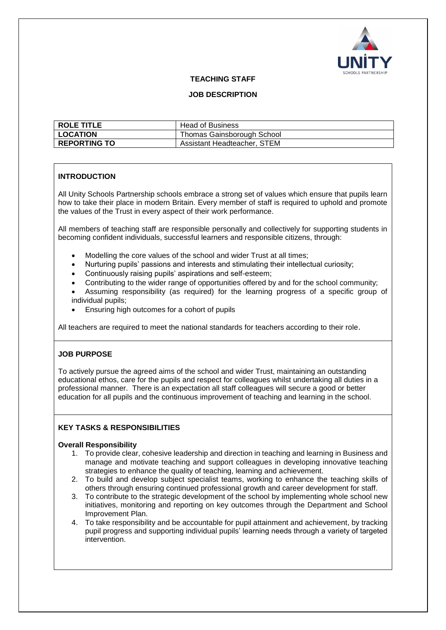

#### **TEACHING STAFF**

#### **JOB DESCRIPTION**

| <b>ROLE TITLE</b> | <b>Head of Business</b>     |
|-------------------|-----------------------------|
| <b>LOCATION</b>   | Thomas Gainsborough School  |
| I REPORTING TO    | Assistant Headteacher, STEM |

### **INTRODUCTION**

All Unity Schools Partnership schools embrace a strong set of values which ensure that pupils learn how to take their place in modern Britain. Every member of staff is required to uphold and promote the values of the Trust in every aspect of their work performance.

All members of teaching staff are responsible personally and collectively for supporting students in becoming confident individuals, successful learners and responsible citizens, through:

- Modelling the core values of the school and wider Trust at all times;
- Nurturing pupils' passions and interests and stimulating their intellectual curiosity;
- Continuously raising pupils' aspirations and self-esteem;
- Contributing to the wider range of opportunities offered by and for the school community;
- Assuming responsibility (as required) for the learning progress of a specific group of individual pupils;
- Ensuring high outcomes for a cohort of pupils

All teachers are required to meet the national standards for teachers according to their role.

#### **JOB PURPOSE**

To actively pursue the agreed aims of the school and wider Trust, maintaining an outstanding educational ethos, care for the pupils and respect for colleagues whilst undertaking all duties in a professional manner. There is an expectation all staff colleagues will secure a good or better education for all pupils and the continuous improvement of teaching and learning in the school.

#### **KEY TASKS & RESPONSIBILITIES**

#### **Overall Responsibility**

- 1. To provide clear, cohesive leadership and direction in teaching and learning in Business and manage and motivate teaching and support colleagues in developing innovative teaching strategies to enhance the quality of teaching, learning and achievement.
- 2. To build and develop subject specialist teams, working to enhance the teaching skills of others through ensuring continued professional growth and career development for staff.
- 3. To contribute to the strategic development of the school by implementing whole school new initiatives, monitoring and reporting on key outcomes through the Department and School Improvement Plan.
- 4. To take responsibility and be accountable for pupil attainment and achievement, by tracking pupil progress and supporting individual pupils' learning needs through a variety of targeted intervention.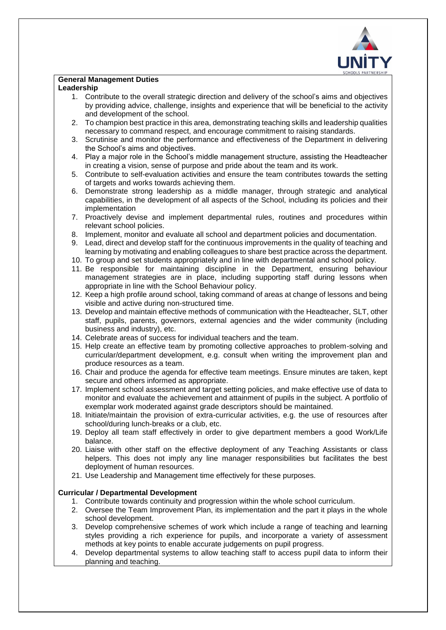

#### **General Management Duties**

#### **Leadership**

- 1. Contribute to the overall strategic direction and delivery of the school's aims and objectives by providing advice, challenge, insights and experience that will be beneficial to the activity and development of the school.
- 2. To champion best practice in this area, demonstrating teaching skills and leadership qualities necessary to command respect, and encourage commitment to raising standards.
- 3. Scrutinise and monitor the performance and effectiveness of the Department in delivering the School's aims and objectives.
- 4. Play a major role in the School's middle management structure, assisting the Headteacher in creating a vision, sense of purpose and pride about the team and its work.
- 5. Contribute to self-evaluation activities and ensure the team contributes towards the setting of targets and works towards achieving them.
- 6. Demonstrate strong leadership as a middle manager, through strategic and analytical capabilities, in the development of all aspects of the School, including its policies and their implementation
- 7. Proactively devise and implement departmental rules, routines and procedures within relevant school policies.
- 8. Implement, monitor and evaluate all school and department policies and documentation.
- 9. Lead, direct and develop staff for the continuous improvements in the quality of teaching and learning by motivating and enabling colleagues to share best practice across the department.
- 10. To group and set students appropriately and in line with departmental and school policy.
- 11. Be responsible for maintaining discipline in the Department, ensuring behaviour management strategies are in place, including supporting staff during lessons when appropriate in line with the School Behaviour policy.
- 12. Keep a high profile around school, taking command of areas at change of lessons and being visible and active during non-structured time.
- 13. Develop and maintain effective methods of communication with the Headteacher, SLT, other staff, pupils, parents, governors, external agencies and the wider community (including business and industry), etc.
- 14. Celebrate areas of success for individual teachers and the team.
- 15. Help create an effective team by promoting collective approaches to problem-solving and curricular/department development, e.g. consult when writing the improvement plan and produce resources as a team.
- 16. Chair and produce the agenda for effective team meetings. Ensure minutes are taken, kept secure and others informed as appropriate.
- 17. Implement school assessment and target setting policies, and make effective use of data to monitor and evaluate the achievement and attainment of pupils in the subject. A portfolio of exemplar work moderated against grade descriptors should be maintained.
- 18. Initiate/maintain the provision of extra-curricular activities, e.g. the use of resources after school/during lunch-breaks or a club, etc.
- 19. Deploy all team staff effectively in order to give department members a good Work/Life balance.
- 20. Liaise with other staff on the effective deployment of any Teaching Assistants or class helpers. This does not imply any line manager responsibilities but facilitates the best deployment of human resources.
- 21. Use Leadership and Management time effectively for these purposes.

#### **Curricular / Departmental Development**

- 1. Contribute towards continuity and progression within the whole school curriculum.
- 2. Oversee the Team Improvement Plan, its implementation and the part it plays in the whole school development.
- 3. Develop comprehensive schemes of work which include a range of teaching and learning styles providing a rich experience for pupils, and incorporate a variety of assessment methods at key points to enable accurate judgements on pupil progress.
- 4. Develop departmental systems to allow teaching staff to access pupil data to inform their planning and teaching.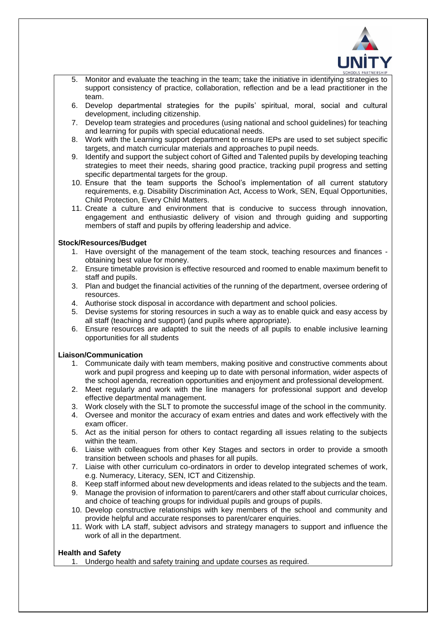

- 5. Monitor and evaluate the teaching in the team; take the initiative in identifying strategies to support consistency of practice, collaboration, reflection and be a lead practitioner in the team.
- 6. Develop departmental strategies for the pupils' spiritual, moral, social and cultural development, including citizenship.
- 7. Develop team strategies and procedures (using national and school guidelines) for teaching and learning for pupils with special educational needs.
- 8. Work with the Learning support department to ensure IEPs are used to set subject specific targets, and match curricular materials and approaches to pupil needs.
- 9. Identify and support the subject cohort of Gifted and Talented pupils by developing teaching strategies to meet their needs, sharing good practice, tracking pupil progress and setting specific departmental targets for the group.
- 10. Ensure that the team supports the School's implementation of all current statutory requirements, e.g. Disability Discrimination Act, Access to Work, SEN, Equal Opportunities, Child Protection, Every Child Matters.
- 11. Create a culture and environment that is conducive to success through innovation, engagement and enthusiastic delivery of vision and through guiding and supporting members of staff and pupils by offering leadership and advice.

#### **Stock/Resources/Budget**

- 1. Have oversight of the management of the team stock, teaching resources and finances obtaining best value for money.
- 2. Ensure timetable provision is effective resourced and roomed to enable maximum benefit to staff and pupils.
- 3. Plan and budget the financial activities of the running of the department, oversee ordering of resources.
- 4. Authorise stock disposal in accordance with department and school policies.
- 5. Devise systems for storing resources in such a way as to enable quick and easy access by all staff (teaching and support) (and pupils where appropriate).
- 6. Ensure resources are adapted to suit the needs of all pupils to enable inclusive learning opportunities for all students

#### **Liaison/Communication**

- 1. Communicate daily with team members, making positive and constructive comments about work and pupil progress and keeping up to date with personal information, wider aspects of the school agenda, recreation opportunities and enjoyment and professional development.
- 2. Meet regularly and work with the line managers for professional support and develop effective departmental management.
- 3. Work closely with the SLT to promote the successful image of the school in the community.
- 4. Oversee and monitor the accuracy of exam entries and dates and work effectively with the exam officer.
- 5. Act as the initial person for others to contact regarding all issues relating to the subjects within the team.
- 6. Liaise with colleagues from other Key Stages and sectors in order to provide a smooth transition between schools and phases for all pupils.
- 7. Liaise with other curriculum co-ordinators in order to develop integrated schemes of work, e.g. Numeracy, Literacy, SEN, ICT and Citizenship.
- 8. Keep staff informed about new developments and ideas related to the subjects and the team.
- 9. Manage the provision of information to parent/carers and other staff about curricular choices, and choice of teaching groups for individual pupils and groups of pupils.
- 10. Develop constructive relationships with key members of the school and community and provide helpful and accurate responses to parent/carer enquiries.
- 11. Work with LA staff, subject advisors and strategy managers to support and influence the work of all in the department.

## **Health and Safety**

1. Undergo health and safety training and update courses as required.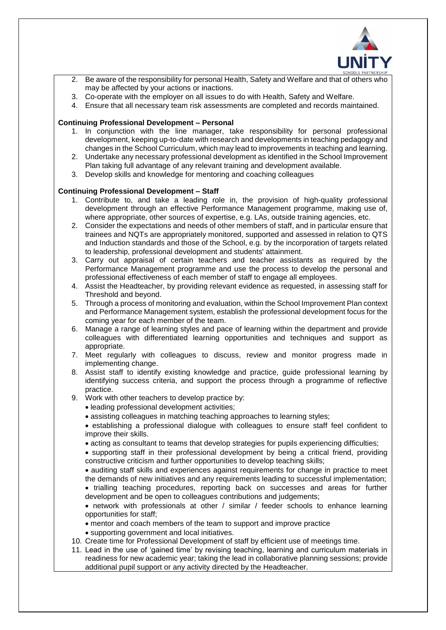

- Be aware of the responsibility for personal Health, Safety and Welfare and that of others who may be affected by your actions or inactions.
- 3. Co-operate with the employer on all issues to do with Health, Safety and Welfare.
- 4. Ensure that all necessary team risk assessments are completed and records maintained.

#### **Continuing Professional Development – Personal**

- 1. In conjunction with the line manager, take responsibility for personal professional development, keeping up-to-date with research and developments in teaching pedagogy and changes in the School Curriculum, which may lead to improvements in teaching and learning.
- 2. Undertake any necessary professional development as identified in the School Improvement Plan taking full advantage of any relevant training and development available.
- 3. Develop skills and knowledge for mentoring and coaching colleagues

### **Continuing Professional Development – Staff**

- 1. Contribute to, and take a leading role in, the provision of high-quality professional development through an effective Performance Management programme, making use of, where appropriate, other sources of expertise, e.g. LAs, outside training agencies, etc.
- 2. Consider the expectations and needs of other members of staff, and in particular ensure that trainees and NQTs are appropriately monitored, supported and assessed in relation to QTS and Induction standards and those of the School, e.g. by the incorporation of targets related to leadership, professional development and students' attainment.
- 3. Carry out appraisal of certain teachers and teacher assistants as required by the Performance Management programme and use the process to develop the personal and professional effectiveness of each member of staff to engage all employees.
- 4. Assist the Headteacher, by providing relevant evidence as requested, in assessing staff for Threshold and beyond.
- 5. Through a process of monitoring and evaluation, within the School Improvement Plan context and Performance Management system, establish the professional development focus for the coming year for each member of the team.
- 6. Manage a range of learning styles and pace of learning within the department and provide colleagues with differentiated learning opportunities and techniques and support as appropriate.
- 7. Meet regularly with colleagues to discuss, review and monitor progress made in implementing change.
- 8. Assist staff to identify existing knowledge and practice, guide professional learning by identifying success criteria, and support the process through a programme of reflective practice.
- 9. Work with other teachers to develop practice by:
	- leading professional development activities;
	- assisting colleagues in matching teaching approaches to learning styles;
	- establishing a professional dialogue with colleagues to ensure staff feel confident to improve their skills.
	- acting as consultant to teams that develop strategies for pupils experiencing difficulties;
	- supporting staff in their professional development by being a critical friend, providing constructive criticism and further opportunities to develop teaching skills;
	- auditing staff skills and experiences against requirements for change in practice to meet the demands of new initiatives and any requirements leading to successful implementation;
	- trialling teaching procedures, reporting back on successes and areas for further development and be open to colleagues contributions and judgements;

• network with professionals at other / similar / feeder schools to enhance learning opportunities for staff;

- mentor and coach members of the team to support and improve practice
- supporting government and local initiatives.
- 10. Create time for Professional Development of staff by efficient use of meetings time.
- 11. Lead in the use of 'gained time' by revising teaching, learning and curriculum materials in readiness for new academic year; taking the lead in collaborative planning sessions; provide additional pupil support or any activity directed by the Headteacher.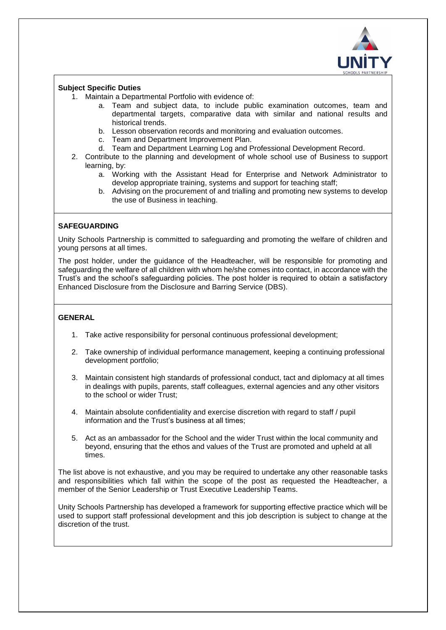

#### **Subject Specific Duties**

- 1. Maintain a Departmental Portfolio with evidence of:
	- a. Team and subject data, to include public examination outcomes, team and departmental targets, comparative data with similar and national results and historical trends.
	- b. Lesson observation records and monitoring and evaluation outcomes.
	- c. Team and Department Improvement Plan.
	- d. Team and Department Learning Log and Professional Development Record.
- 2. Contribute to the planning and development of whole school use of Business to support learning, by:
	- a. Working with the Assistant Head for Enterprise and Network Administrator to develop appropriate training, systems and support for teaching staff;
	- b. Advising on the procurement of and trialling and promoting new systems to develop the use of Business in teaching.

## **SAFEGUARDING**

Unity Schools Partnership is committed to safeguarding and promoting the welfare of children and young persons at all times.

The post holder, under the guidance of the Headteacher, will be responsible for promoting and safeguarding the welfare of all children with whom he/she comes into contact, in accordance with the Trust's and the school's safeguarding policies. The post holder is required to obtain a satisfactory Enhanced Disclosure from the Disclosure and Barring Service (DBS).

## **GENERAL**

- 1. Take active responsibility for personal continuous professional development;
- 2. Take ownership of individual performance management, keeping a continuing professional development portfolio;
- 3. Maintain consistent high standards of professional conduct, tact and diplomacy at all times in dealings with pupils, parents, staff colleagues, external agencies and any other visitors to the school or wider Trust;
- 4. Maintain absolute confidentiality and exercise discretion with regard to staff / pupil information and the Trust's business at all times;
- 5. Act as an ambassador for the School and the wider Trust within the local community and beyond, ensuring that the ethos and values of the Trust are promoted and upheld at all times.

The list above is not exhaustive, and you may be required to undertake any other reasonable tasks and responsibilities which fall within the scope of the post as requested the Headteacher, a member of the Senior Leadership or Trust Executive Leadership Teams.

Unity Schools Partnership has developed a framework for supporting effective practice which will be used to support staff professional development and this job description is subject to change at the discretion of the trust.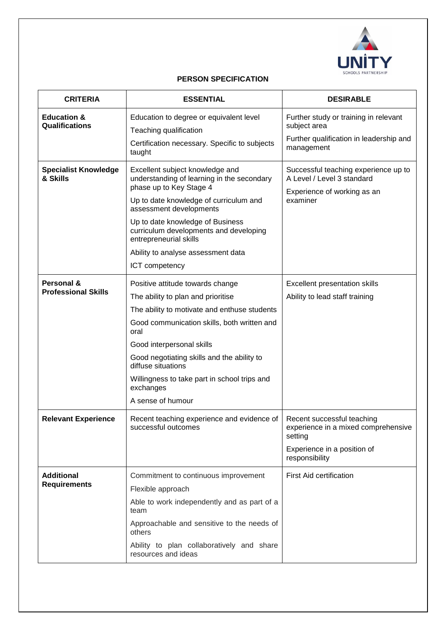

# **PERSON SPECIFICATION**

| <b>CRITERIA</b>                          | <b>ESSENTIAL</b>                                                                                                                                                                                                                                                                                                                                                 | <b>DESIRABLE</b>                                                                                                              |
|------------------------------------------|------------------------------------------------------------------------------------------------------------------------------------------------------------------------------------------------------------------------------------------------------------------------------------------------------------------------------------------------------------------|-------------------------------------------------------------------------------------------------------------------------------|
| <b>Education &amp;</b><br>Qualifications | Education to degree or equivalent level<br>Teaching qualification<br>Certification necessary. Specific to subjects<br>taught                                                                                                                                                                                                                                     | Further study or training in relevant<br>subject area<br>Further qualification in leadership and<br>management                |
| <b>Specialist Knowledge</b><br>& Skills  | Excellent subject knowledge and<br>understanding of learning in the secondary<br>phase up to Key Stage 4<br>Up to date knowledge of curriculum and<br>assessment developments<br>Up to date knowledge of Business<br>curriculum developments and developing<br>entrepreneurial skills<br>Ability to analyse assessment data<br>ICT competency                    | Successful teaching experience up to<br>A Level / Level 3 standard<br>Experience of working as an<br>examiner                 |
| Personal &<br><b>Professional Skills</b> | Positive attitude towards change<br>The ability to plan and prioritise<br>The ability to motivate and enthuse students<br>Good communication skills, both written and<br>oral<br>Good interpersonal skills<br>Good negotiating skills and the ability to<br>diffuse situations<br>Willingness to take part in school trips and<br>exchanges<br>A sense of humour | Excellent presentation skills<br>Ability to lead staff training                                                               |
| <b>Relevant Experience</b>               | Recent teaching experience and evidence of<br>successful outcomes                                                                                                                                                                                                                                                                                                | Recent successful teaching<br>experience in a mixed comprehensive<br>setting<br>Experience in a position of<br>responsibility |
| <b>Additional</b><br><b>Requirements</b> | Commitment to continuous improvement<br>Flexible approach<br>Able to work independently and as part of a<br>team<br>Approachable and sensitive to the needs of<br>others<br>Ability to plan collaboratively and share<br>resources and ideas                                                                                                                     | <b>First Aid certification</b>                                                                                                |